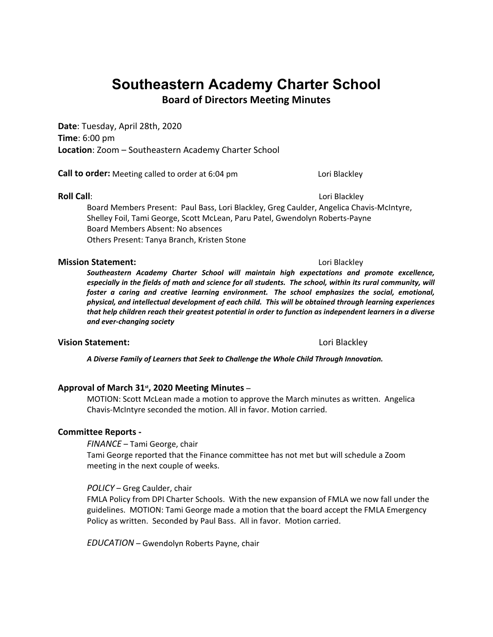# **Southeastern Academy Charter School**

**Board of Directors Meeting Minutes**

**Date**: Tuesday, April 28th, 2020 **Time**: 6:00 pm **Location**: Zoom – Southeastern Academy Charter School

**Call to order:** Meeting called to order at 6:04 pm Lori Blackley

**Roll Call**: **Allah Call**: **Call**: **Call**: **Call**: **Call**: **Call**: **Call**: **Call**: **Call**: **Call**: **Call**: **Call**: **Call**: **Call**: **Call**: **Call**: **Call**: **Call**: **Call**: **Call**: **Call**: **Call**: **Call**: **Call**: **Call**: **Ca** Board Members Present: Paul Bass, Lori Blackley, Greg Caulder, Angelica Chavis-McIntyre, Shelley Foil, Tami George, Scott McLean, Paru Patel, Gwendolyn Roberts-Payne Board Members Absent: No absences Others Present: Tanya Branch, Kristen Stone

### **Mission Statement:** Lori Blackley

*Southeastern Academy Charter School will maintain high expectations and promote excellence, especially in the fields of math and science for all students. The school, within its rural community, will foster a caring and creative learning environment. The school emphasizes the social, emotional, physical, and intellectual development of each child. This will be obtained through learning experiences that help children reach their greatest potential in order to function as independent learners in a diverse and ever-changing society*

# **Vision Statement:** Lori Blackley

*A Diverse Family of Learners that Seek to Challenge the Whole Child Through Innovation.*

**Approval of March 31<sup>st</sup>, 2020 Meeting Minutes –<br>MOTION: Scott McLean made a motion to approve the March minutes as written. Angelica** Chavis-McIntyre seconded the motion. All in favor. Motion carried.

## **Committee Reports -**

*FINANCE* – Tami George, chair

Tami George reported that the Finance committee has not met but will schedule a Zoom meeting in the next couple of weeks.

## *POLICY* – Greg Caulder, chair

FMLA Policy from DPI Charter Schools. With the new expansion of FMLA we now fall under the guidelines. MOTION: Tami George made a motion that the board accept the FMLA Emergency Policy as written. Seconded by Paul Bass. All in favor. Motion carried.

*EDUCATION* – Gwendolyn Roberts Payne, chair